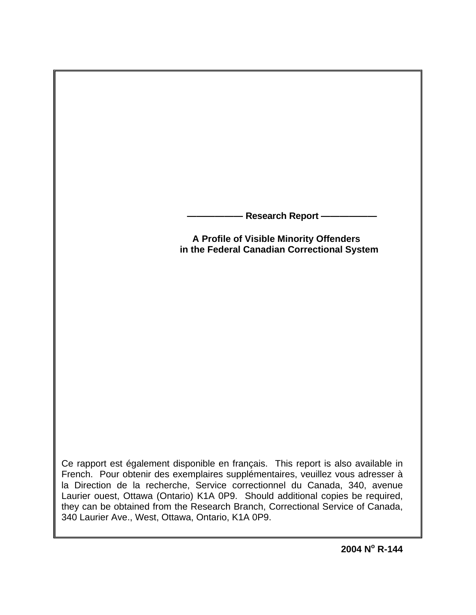**Research Report -**

**A Profile of Visible Minority Offenders in the Federal Canadian Correctional System** 

Ce rapport est également disponible en français. This report is also available in French. Pour obtenir des exemplaires supplémentaires, veuillez vous adresser à la Direction de la recherche, Service correctionnel du Canada, 340, avenue Laurier ouest, Ottawa (Ontario) K1A 0P9. Should additional copies be required, they can be obtained from the Research Branch, Correctional Service of Canada, 340 Laurier Ave., West, Ottawa, Ontario, K1A 0P9.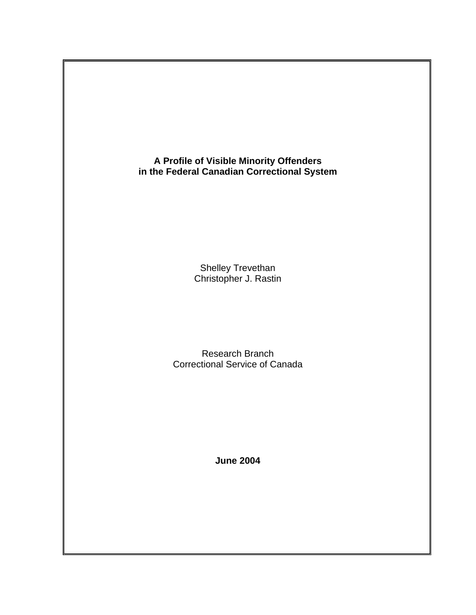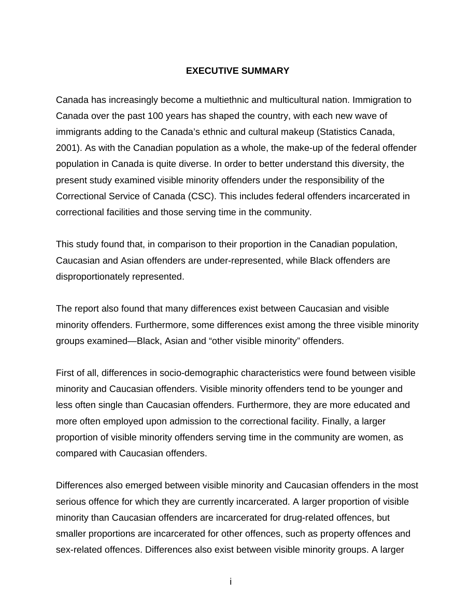### **EXECUTIVE SUMMARY**

<span id="page-2-0"></span>Canada has increasingly become a multiethnic and multicultural nation. Immigration to Canada over the past 100 years has shaped the country, with each new wave of immigrants adding to the Canada's ethnic and cultural makeup (Statistics Canada, 2001). As with the Canadian population as a whole, the make-up of the federal offender population in Canada is quite diverse. In order to better understand this diversity, the present study examined visible minority offenders under the responsibility of the Correctional Service of Canada (CSC). This includes federal offenders incarcerated in correctional facilities and those serving time in the community.

This study found that, in comparison to their proportion in the Canadian population, Caucasian and Asian offenders are under-represented, while Black offenders are disproportionately represented.

The report also found that many differences exist between Caucasian and visible minority offenders. Furthermore, some differences exist among the three visible minority groups examined—Black, Asian and "other visible minority" offenders.

First of all, differences in socio-demographic characteristics were found between visible minority and Caucasian offenders. Visible minority offenders tend to be younger and less often single than Caucasian offenders. Furthermore, they are more educated and more often employed upon admission to the correctional facility. Finally, a larger proportion of visible minority offenders serving time in the community are women, as compared with Caucasian offenders.

Differences also emerged between visible minority and Caucasian offenders in the most serious offence for which they are currently incarcerated. A larger proportion of visible minority than Caucasian offenders are incarcerated for drug-related offences, but smaller proportions are incarcerated for other offences, such as property offences and sex-related offences. Differences also exist between visible minority groups. A larger

i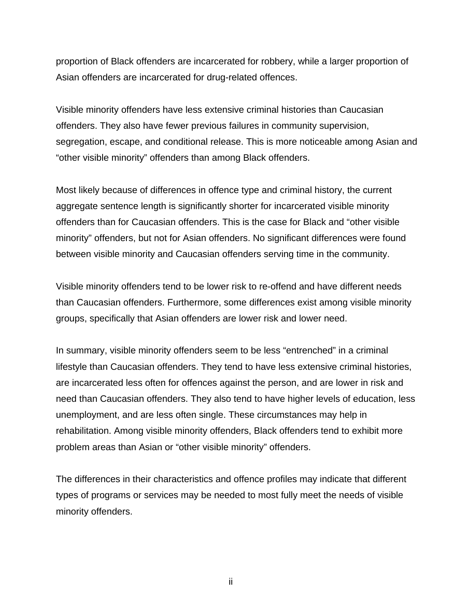proportion of Black offenders are incarcerated for robbery, while a larger proportion of Asian offenders are incarcerated for drug-related offences.

Visible minority offenders have less extensive criminal histories than Caucasian offenders. They also have fewer previous failures in community supervision, segregation, escape, and conditional release. This is more noticeable among Asian and "other visible minority" offenders than among Black offenders.

Most likely because of differences in offence type and criminal history, the current aggregate sentence length is significantly shorter for incarcerated visible minority offenders than for Caucasian offenders. This is the case for Black and "other visible minority" offenders, but not for Asian offenders. No significant differences were found between visible minority and Caucasian offenders serving time in the community.

Visible minority offenders tend to be lower risk to re-offend and have different needs than Caucasian offenders. Furthermore, some differences exist among visible minority groups, specifically that Asian offenders are lower risk and lower need.

In summary, visible minority offenders seem to be less "entrenched" in a criminal lifestyle than Caucasian offenders. They tend to have less extensive criminal histories, are incarcerated less often for offences against the person, and are lower in risk and need than Caucasian offenders. They also tend to have higher levels of education, less unemployment, and are less often single. These circumstances may help in rehabilitation. Among visible minority offenders, Black offenders tend to exhibit more problem areas than Asian or "other visible minority" offenders.

The differences in their characteristics and offence profiles may indicate that different types of programs or services may be needed to most fully meet the needs of visible minority offenders.

ii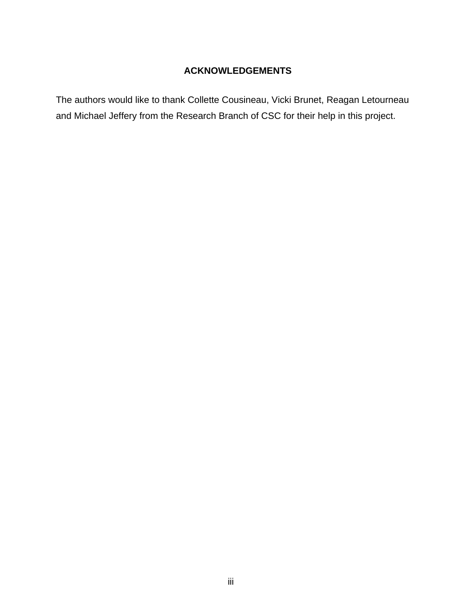# **ACKNOWLEDGEMENTS**

<span id="page-4-0"></span>The authors would like to thank Collette Cousineau, Vicki Brunet, Reagan Letourneau and Michael Jeffery from the Research Branch of CSC for their help in this project.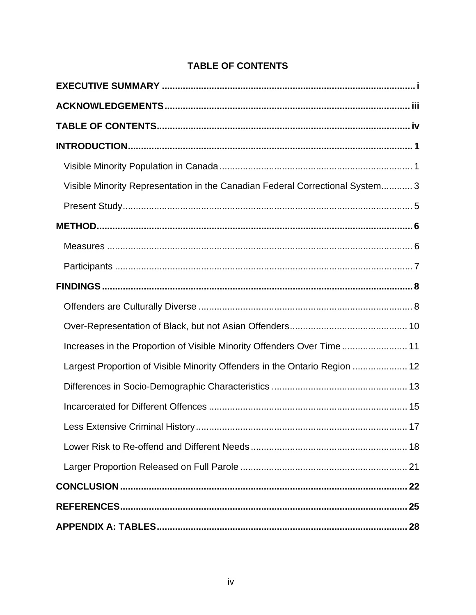<span id="page-5-0"></span>

| Visible Minority Representation in the Canadian Federal Correctional System3 |
|------------------------------------------------------------------------------|
|                                                                              |
|                                                                              |
|                                                                              |
|                                                                              |
|                                                                              |
|                                                                              |
|                                                                              |
| Increases in the Proportion of Visible Minority Offenders Over Time 11       |
| Largest Proportion of Visible Minority Offenders in the Ontario Region  12   |
|                                                                              |
|                                                                              |
|                                                                              |
|                                                                              |
|                                                                              |
|                                                                              |
|                                                                              |
|                                                                              |

# **TABLE OF CONTENTS**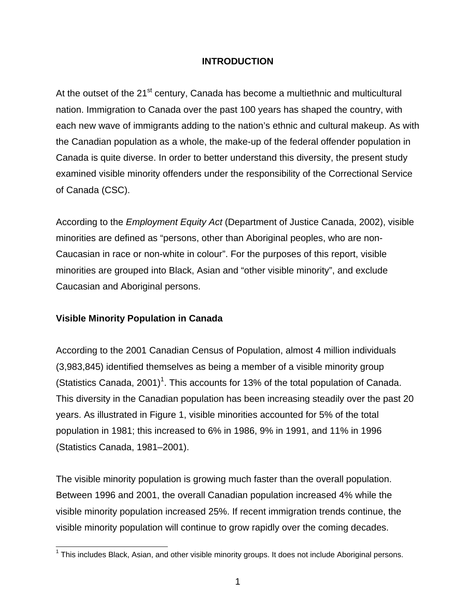## **INTRODUCTION**

<span id="page-6-0"></span>At the outset of the 21<sup>st</sup> century, Canada has become a multiethnic and multicultural nation. Immigration to Canada over the past 100 years has shaped the country, with each new wave of immigrants adding to the nation's ethnic and cultural makeup. As with the Canadian population as a whole, the make-up of the federal offender population in Canada is quite diverse. In order to better understand this diversity, the present study examined visible minority offenders under the responsibility of the Correctional Service of Canada (CSC).

According to the *Employment Equity Act* (Department of Justice Canada, 2002), visible minorities are defined as "persons, other than Aboriginal peoples, who are non-Caucasian in race or non-white in colour". For the purposes of this report, visible minorities are grouped into Black, Asian and "other visible minority", and exclude Caucasian and Aboriginal persons.

# **Visible Minority Population in Canada**

According to the 2001 Canadian Census of Population, almost 4 million individuals (3,983,845) identified themselves as being a member of a visible minority group (Statistics Canada, 200[1](#page-6-1))<sup>1</sup>. This accounts for 13% of the total population of Canada. This diversity in the Canadian population has been increasing steadily over the past 20 years. As illustrated in Figure 1, visible minorities accounted for 5% of the total population in 1981; this increased to 6% in 1986, 9% in 1991, and 11% in 1996 (Statistics Canada, 1981–2001).

The visible minority population is growing much faster than the overall population. Between 1996 and 2001, the overall Canadian population increased 4% while the visible minority population increased 25%. If recent immigration trends continue, the visible minority population will continue to grow rapidly over the coming decades.

<span id="page-6-1"></span>THE THIS INCORDING THE THIS INCORDENT THIS INCORDENT THIS INCORDENT.<br>This includes Black, Asian, and other visible minority groups. It does not include Aboriginal persons.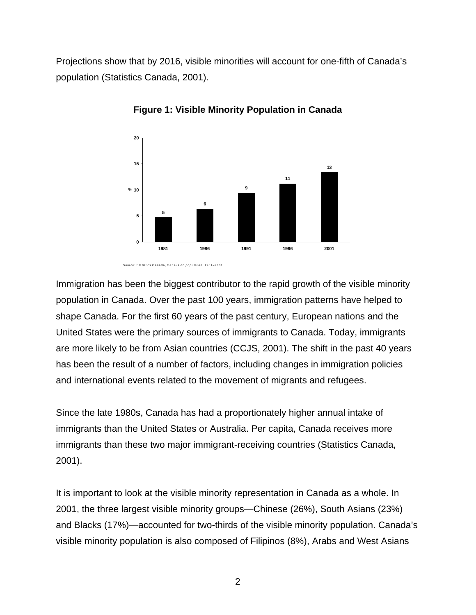Projections show that by 2016, visible minorities will account for one-fifth of Canada's population (Statistics Canada, 2001).



**Figure 1: Visible Minority Population in Canada** 

Immigration has been the biggest contributor to the rapid growth of the visible minority population in Canada. Over the past 100 years, immigration patterns have helped to shape Canada. For the first 60 years of the past century, European nations and the United States were the primary sources of immigrants to Canada. Today, immigrants are more likely to be from Asian countries (CCJS, 2001). The shift in the past 40 years has been the result of a number of factors, including changes in immigration policies and international events related to the movement of migrants and refugees.

Since the late 1980s, Canada has had a proportionately higher annual intake of immigrants than the United States or Australia. Per capita, Canada receives more immigrants than these two major immigrant-receiving countries (Statistics Canada, 2001).

It is important to look at the visible minority representation in Canada as a whole. In 2001, the three largest visible minority groups—Chinese (26%), South Asians (23%) and Blacks (17%)—accounted for two-thirds of the visible minority population. Canada's visible minority population is also composed of Filipinos (8%), Arabs and West Asians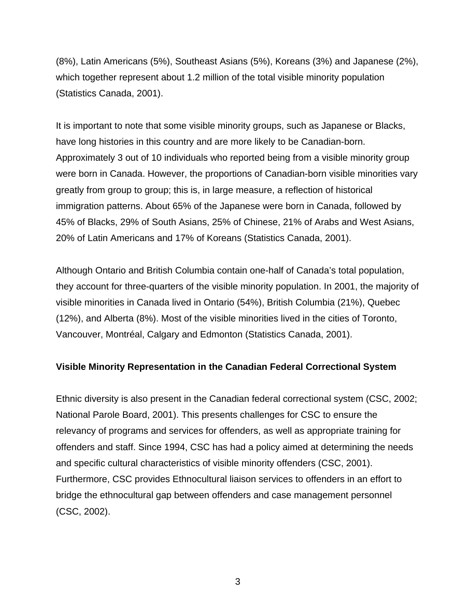<span id="page-8-0"></span>(8%), Latin Americans (5%), Southeast Asians (5%), Koreans (3%) and Japanese (2%), which together represent about 1.2 million of the total visible minority population (Statistics Canada, 2001).

It is important to note that some visible minority groups, such as Japanese or Blacks, have long histories in this country and are more likely to be Canadian-born. Approximately 3 out of 10 individuals who reported being from a visible minority group were born in Canada. However, the proportions of Canadian-born visible minorities vary greatly from group to group; this is, in large measure, a reflection of historical immigration patterns. About 65% of the Japanese were born in Canada, followed by 45% of Blacks, 29% of South Asians, 25% of Chinese, 21% of Arabs and West Asians, 20% of Latin Americans and 17% of Koreans (Statistics Canada, 2001).

Although Ontario and British Columbia contain one-half of Canada's total population, they account for three-quarters of the visible minority population. In 2001, the majority of visible minorities in Canada lived in Ontario (54%), British Columbia (21%), Quebec (12%), and Alberta (8%). Most of the visible minorities lived in the cities of Toronto, Vancouver, Montréal, Calgary and Edmonton (Statistics Canada, 2001).

# **Visible Minority Representation in the Canadian Federal Correctional System**

Ethnic diversity is also present in the Canadian federal correctional system (CSC, 2002; National Parole Board, 2001). This presents challenges for CSC to ensure the relevancy of programs and services for offenders, as well as appropriate training for offenders and staff. Since 1994, CSC has had a policy aimed at determining the needs and specific cultural characteristics of visible minority offenders (CSC, 2001). Furthermore, CSC provides Ethnocultural liaison services to offenders in an effort to bridge the ethnocultural gap between offenders and case management personnel (CSC, 2002).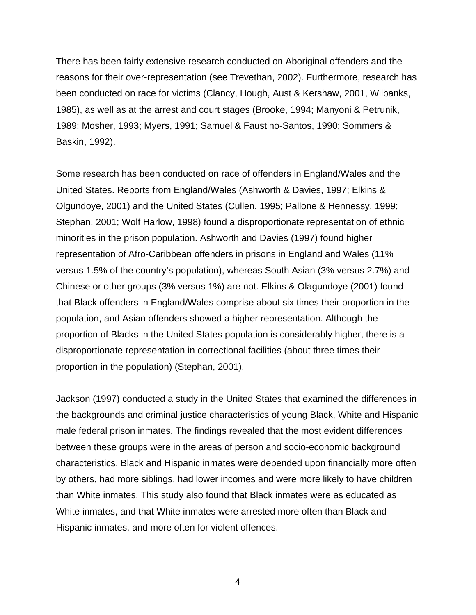There has been fairly extensive research conducted on Aboriginal offenders and the reasons for their over-representation (see Trevethan, 2002). Furthermore, research has been conducted on race for victims (Clancy, Hough, Aust & Kershaw, 2001, Wilbanks, 1985), as well as at the arrest and court stages (Brooke, 1994; Manyoni & Petrunik, 1989; Mosher, 1993; Myers, 1991; Samuel & Faustino-Santos, 1990; Sommers & Baskin, 1992).

Some research has been conducted on race of offenders in England/Wales and the United States. Reports from England/Wales (Ashworth & Davies, 1997; Elkins & Olgundoye, 2001) and the United States (Cullen, 1995; Pallone & Hennessy, 1999; Stephan, 2001; Wolf Harlow, 1998) found a disproportionate representation of ethnic minorities in the prison population. Ashworth and Davies (1997) found higher representation of Afro-Caribbean offenders in prisons in England and Wales (11% versus 1.5% of the country's population), whereas South Asian (3% versus 2.7%) and Chinese or other groups (3% versus 1%) are not. Elkins & Olagundoye (2001) found that Black offenders in England/Wales comprise about six times their proportion in the population, and Asian offenders showed a higher representation. Although the proportion of Blacks in the United States population is considerably higher, there is a disproportionate representation in correctional facilities (about three times their proportion in the population) (Stephan, 2001).

Jackson (1997) conducted a study in the United States that examined the differences in the backgrounds and criminal justice characteristics of young Black, White and Hispanic male federal prison inmates. The findings revealed that the most evident differences between these groups were in the areas of person and socio-economic background characteristics. Black and Hispanic inmates were depended upon financially more often by others, had more siblings, had lower incomes and were more likely to have children than White inmates. This study also found that Black inmates were as educated as White inmates, and that White inmates were arrested more often than Black and Hispanic inmates, and more often for violent offences.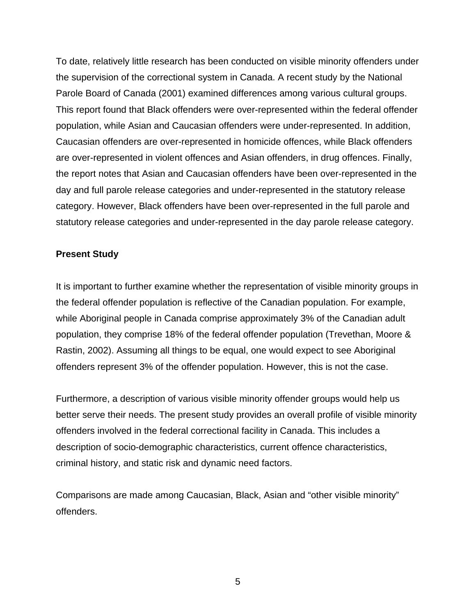<span id="page-10-0"></span>To date, relatively little research has been conducted on visible minority offenders under the supervision of the correctional system in Canada. A recent study by the National Parole Board of Canada (2001) examined differences among various cultural groups. This report found that Black offenders were over-represented within the federal offender population, while Asian and Caucasian offenders were under-represented. In addition, Caucasian offenders are over-represented in homicide offences, while Black offenders are over-represented in violent offences and Asian offenders, in drug offences. Finally, the report notes that Asian and Caucasian offenders have been over-represented in the day and full parole release categories and under-represented in the statutory release category. However, Black offenders have been over-represented in the full parole and statutory release categories and under-represented in the day parole release category.

### **Present Study**

It is important to further examine whether the representation of visible minority groups in the federal offender population is reflective of the Canadian population. For example, while Aboriginal people in Canada comprise approximately 3% of the Canadian adult population, they comprise 18% of the federal offender population (Trevethan, Moore & Rastin, 2002). Assuming all things to be equal, one would expect to see Aboriginal offenders represent 3% of the offender population. However, this is not the case.

Furthermore, a description of various visible minority offender groups would help us better serve their needs. The present study provides an overall profile of visible minority offenders involved in the federal correctional facility in Canada. This includes a description of socio-demographic characteristics, current offence characteristics, criminal history, and static risk and dynamic need factors.

Comparisons are made among Caucasian, Black, Asian and "other visible minority" offenders.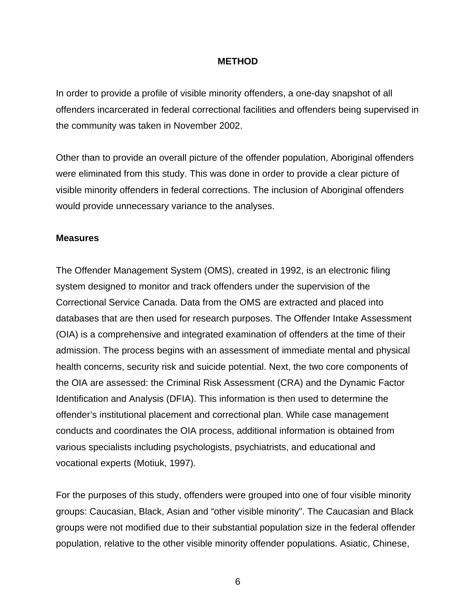### **METHOD**

<span id="page-11-0"></span>In order to provide a profile of visible minority offenders, a one-day snapshot of all offenders incarcerated in federal correctional facilities and offenders being supervised in the community was taken in November 2002.

Other than to provide an overall picture of the offender population, Aboriginal offenders were eliminated from this study. This was done in order to provide a clear picture of visible minority offenders in federal corrections. The inclusion of Aboriginal offenders would provide unnecessary variance to the analyses.

#### **Measures**

The Offender Management System (OMS), created in 1992, is an electronic filing system designed to monitor and track offenders under the supervision of the Correctional Service Canada. Data from the OMS are extracted and placed into databases that are then used for research purposes. The Offender Intake Assessment (OIA) is a comprehensive and integrated examination of offenders at the time of their admission. The process begins with an assessment of immediate mental and physical health concerns, security risk and suicide potential. Next, the two core components of the OIA are assessed: the Criminal Risk Assessment (CRA) and the Dynamic Factor Identification and Analysis (DFIA). This information is then used to determine the offender's institutional placement and correctional plan. While case management conducts and coordinates the OIA process, additional information is obtained from various specialists including psychologists, psychiatrists, and educational and vocational experts (Motiuk, 1997).

For the purposes of this study, offenders were grouped into one of four visible minority groups: Caucasian, Black, Asian and "other visible minority". The Caucasian and Black groups were not modified due to their substantial population size in the federal offender population, relative to the other visible minority offender populations. Asiatic, Chinese,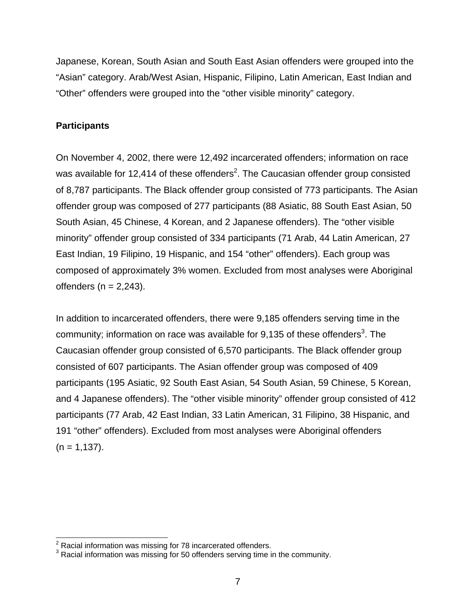<span id="page-12-0"></span>Japanese, Korean, South Asian and South East Asian offenders were grouped into the "Asian" category. Arab/West Asian, Hispanic, Filipino, Latin American, East Indian and "Other" offenders were grouped into the "other visible minority" category.

# **Participants**

On November 4, 2002, there were 12,492 incarcerated offenders; information on race was available for 1[2](#page-12-1),414 of these offenders<sup>2</sup>. The Caucasian offender group consisted of 8,787 participants. The Black offender group consisted of 773 participants. The Asian offender group was composed of 277 participants (88 Asiatic, 88 South East Asian, 50 South Asian, 45 Chinese, 4 Korean, and 2 Japanese offenders). The "other visible minority" offender group consisted of 334 participants (71 Arab, 44 Latin American, 27 East Indian, 19 Filipino, 19 Hispanic, and 154 "other" offenders). Each group was composed of approximately 3% women. Excluded from most analyses were Aboriginal offenders ( $n = 2,243$ ).

In addition to incarcerated offenders, there were 9,185 offenders serving time in the community; information on race was available for  $9,135$  $9,135$  $9,135$  of these offenders<sup>3</sup>. The Caucasian offender group consisted of 6,570 participants. The Black offender group consisted of 607 participants. The Asian offender group was composed of 409 participants (195 Asiatic, 92 South East Asian, 54 South Asian, 59 Chinese, 5 Korean, and 4 Japanese offenders). The "other visible minority" offender group consisted of 412 participants (77 Arab, 42 East Indian, 33 Latin American, 31 Filipino, 38 Hispanic, and 191 "other" offenders). Excluded from most analyses were Aboriginal offenders  $(n = 1, 137)$ .

<span id="page-12-1"></span><sup>&</sup>lt;u>2</u><br><sup>2</sup> Racial information was missing for 78 incarcerated offenders.

<span id="page-12-2"></span> $3$  Racial information was missing for 50 offenders serving time in the community.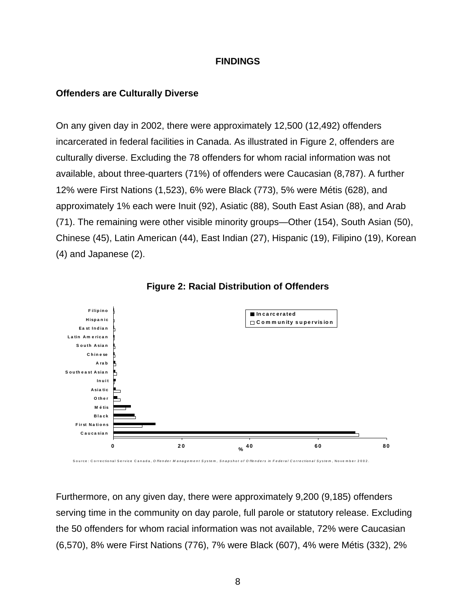### **FINDINGS**

### <span id="page-13-0"></span>**Offenders are Culturally Diverse**

On any given day in 2002, there were approximately 12,500 (12,492) offenders incarcerated in federal facilities in Canada. As illustrated in Figure 2, offenders are culturally diverse. Excluding the 78 offenders for whom racial information was not available, about three-quarters (71%) of offenders were Caucasian (8,787). A further 12% were First Nations (1,523), 6% were Black (773), 5% were Métis (628), and approximately 1% each were Inuit (92), Asiatic (88), South East Asian (88), and Arab (71). The remaining were other visible minority groups—Other (154), South Asian (50), Chinese (45), Latin American (44), East Indian (27), Hispanic (19), Filipino (19), Korean (4) and Japanese (2).



**Figure 2: Racial Distribution of Offenders** 

Furthermore, on any given day, there were approximately 9,200 (9,185) offenders serving time in the community on day parole, full parole or statutory release. Excluding the 50 offenders for whom racial information was not available, 72% were Caucasian (6,570), 8% were First Nations (776), 7% were Black (607), 4% were Métis (332), 2%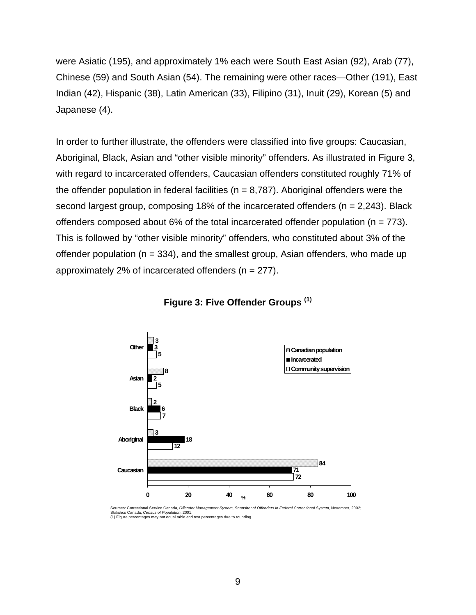were Asiatic (195), and approximately 1% each were South East Asian (92), Arab (77), Chinese (59) and South Asian (54). The remaining were other races—Other (191), East Indian (42), Hispanic (38), Latin American (33), Filipino (31), Inuit (29), Korean (5) and Japanese (4).

In order to further illustrate, the offenders were classified into five groups: Caucasian, Aboriginal, Black, Asian and "other visible minority" offenders. As illustrated in Figure 3, with regard to incarcerated offenders, Caucasian offenders constituted roughly 71% of the offender population in federal facilities ( $n = 8,787$ ). Aboriginal offenders were the second largest group, composing 18% of the incarcerated offenders (n = 2,243). Black offenders composed about 6% of the total incarcerated offender population ( $n = 773$ ). This is followed by "other visible minority" offenders, who constituted about 3% of the offender population ( $n = 334$ ), and the smallest group, Asian offenders, who made up approximately 2% of incarcerated offenders ( $n = 277$ ).



### **Figure 3: Five Offender Groups (1)**

Sources: Correctional Service Canada, O*ffender Management System, Snapshot of Offenders in Federal Correctional System*, November, 2002;<br>Statistics Canada, C*ensus of Population,* 2001.<br>(1) Figure percentages may not equa

<sup>9</sup>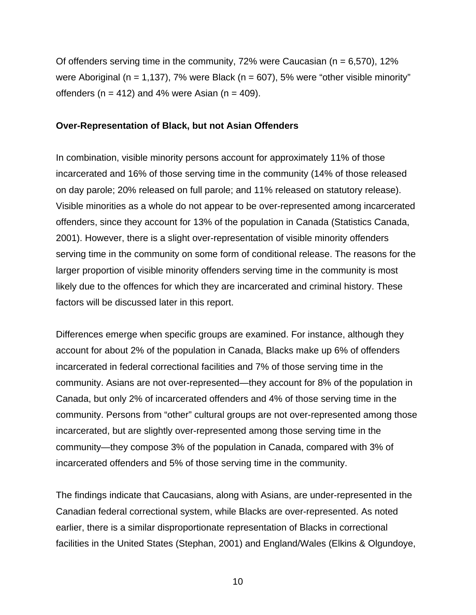<span id="page-15-0"></span>Of offenders serving time in the community, 72% were Caucasian ( $n = 6,570$ ), 12% were Aboriginal (n = 1,137), 7% were Black (n = 607), 5% were "other visible minority" offenders ( $n = 412$ ) and 4% were Asian ( $n = 409$ ).

#### **Over-Representation of Black, but not Asian Offenders**

In combination, visible minority persons account for approximately 11% of those incarcerated and 16% of those serving time in the community (14% of those released on day parole; 20% released on full parole; and 11% released on statutory release). Visible minorities as a whole do not appear to be over-represented among incarcerated offenders, since they account for 13% of the population in Canada (Statistics Canada, 2001). However, there is a slight over-representation of visible minority offenders serving time in the community on some form of conditional release. The reasons for the larger proportion of visible minority offenders serving time in the community is most likely due to the offences for which they are incarcerated and criminal history. These factors will be discussed later in this report.

Differences emerge when specific groups are examined. For instance, although they account for about 2% of the population in Canada, Blacks make up 6% of offenders incarcerated in federal correctional facilities and 7% of those serving time in the community. Asians are not over-represented—they account for 8% of the population in Canada, but only 2% of incarcerated offenders and 4% of those serving time in the community. Persons from "other" cultural groups are not over-represented among those incarcerated, but are slightly over-represented among those serving time in the community—they compose 3% of the population in Canada, compared with 3% of incarcerated offenders and 5% of those serving time in the community.

The findings indicate that Caucasians, along with Asians, are under-represented in the Canadian federal correctional system, while Blacks are over-represented. As noted earlier, there is a similar disproportionate representation of Blacks in correctional facilities in the United States (Stephan, 2001) and England/Wales (Elkins & Olgundoye,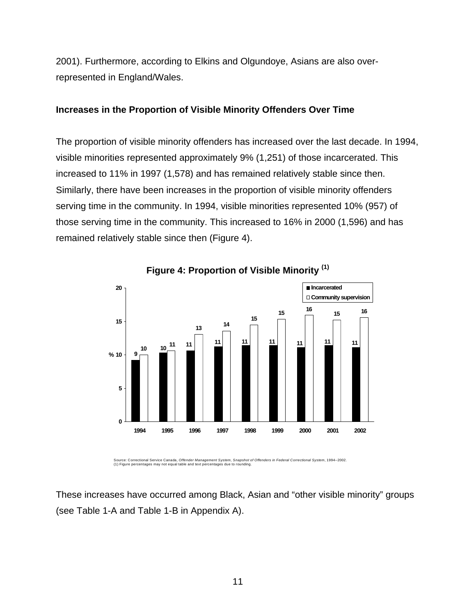<span id="page-16-0"></span>2001). Furthermore, according to Elkins and Olgundoye, Asians are also overrepresented in England/Wales.

## **Increases in the Proportion of Visible Minority Offenders Over Time**

The proportion of visible minority offenders has increased over the last decade. In 1994, visible minorities represented approximately 9% (1,251) of those incarcerated. This increased to 11% in 1997 (1,578) and has remained relatively stable since then. Similarly, there have been increases in the proportion of visible minority offenders serving time in the community. In 1994, visible minorities represented 10% (957) of those serving time in the community. This increased to 16% in 2000 (1,596) and has remained relatively stable since then (Figure 4).



**Figure 4: Proportion of Visible Minority (1)**

Source: Correctional Service Canada, *Offender Management System, Snapshot of Offenders in Federal Correctional System*, 1994–2002. (1) Figure percentages may not equal table and text percentages due to rounding.

These increases have occurred among Black, Asian and "other visible minority" groups (see Table 1-A and Table 1-B in Appendix A).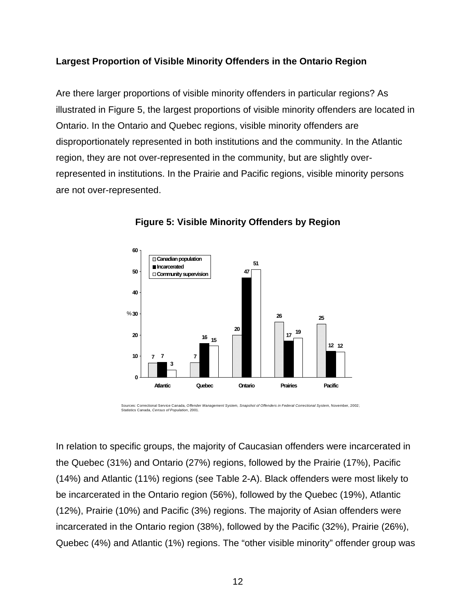# **Largest Proportion of Visible Minority Offenders in the Ontario Region**

Are there larger proportions of visible minority offenders in particular regions? As illustrated in Figure 5, the largest proportions of visible minority offenders are located in Ontario. In the Ontario and Quebec regions, visible minority offenders are disproportionately represented in both institutions and the community. In the Atlantic region, they are not over-represented in the community, but are slightly overrepresented in institutions. In the Prairie and Pacific regions, visible minority persons are not over-represented.





Sources: Correctional Service Canada, Offender Management System, Snapshot of Offenders in Federal Correctional System, November, 2002;<br>Statistics Canada, Census of Population, 2001.

In relation to specific groups, the majority of Caucasian offenders were incarcerated in the Quebec (31%) and Ontario (27%) regions, followed by the Prairie (17%), Pacific (14%) and Atlantic (11%) regions (see Table 2-A). Black offenders were most likely to be incarcerated in the Ontario region (56%), followed by the Quebec (19%), Atlantic (12%), Prairie (10%) and Pacific (3%) regions. The majority of Asian offenders were incarcerated in the Ontario region (38%), followed by the Pacific (32%), Prairie (26%), Quebec (4%) and Atlantic (1%) regions. The "other visible minority" offender group was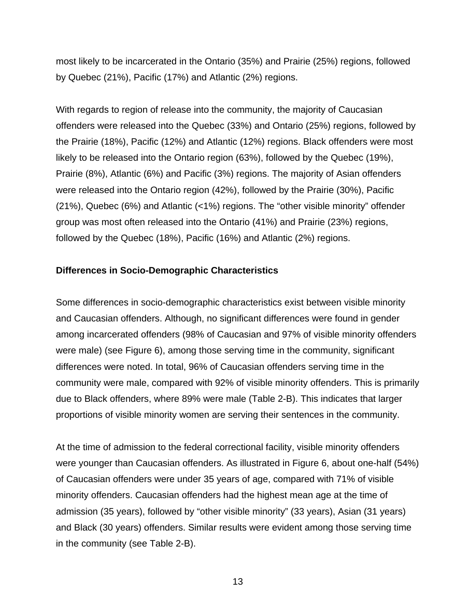<span id="page-18-0"></span>most likely to be incarcerated in the Ontario (35%) and Prairie (25%) regions, followed by Quebec (21%), Pacific (17%) and Atlantic (2%) regions.

With regards to region of release into the community, the majority of Caucasian offenders were released into the Quebec (33%) and Ontario (25%) regions, followed by the Prairie (18%), Pacific (12%) and Atlantic (12%) regions. Black offenders were most likely to be released into the Ontario region (63%), followed by the Quebec (19%), Prairie (8%), Atlantic (6%) and Pacific (3%) regions. The majority of Asian offenders were released into the Ontario region (42%), followed by the Prairie (30%), Pacific (21%), Quebec (6%) and Atlantic (<1%) regions. The "other visible minority" offender group was most often released into the Ontario (41%) and Prairie (23%) regions, followed by the Quebec (18%), Pacific (16%) and Atlantic (2%) regions.

## **Differences in Socio-Demographic Characteristics**

Some differences in socio-demographic characteristics exist between visible minority and Caucasian offenders. Although, no significant differences were found in gender among incarcerated offenders (98% of Caucasian and 97% of visible minority offenders were male) (see Figure 6), among those serving time in the community, significant differences were noted. In total, 96% of Caucasian offenders serving time in the community were male, compared with 92% of visible minority offenders. This is primarily due to Black offenders, where 89% were male (Table 2-B). This indicates that larger proportions of visible minority women are serving their sentences in the community.

At the time of admission to the federal correctional facility, visible minority offenders were younger than Caucasian offenders. As illustrated in Figure 6, about one-half (54%) of Caucasian offenders were under 35 years of age, compared with 71% of visible minority offenders. Caucasian offenders had the highest mean age at the time of admission (35 years), followed by "other visible minority" (33 years), Asian (31 years) and Black (30 years) offenders. Similar results were evident among those serving time in the community (see Table 2-B).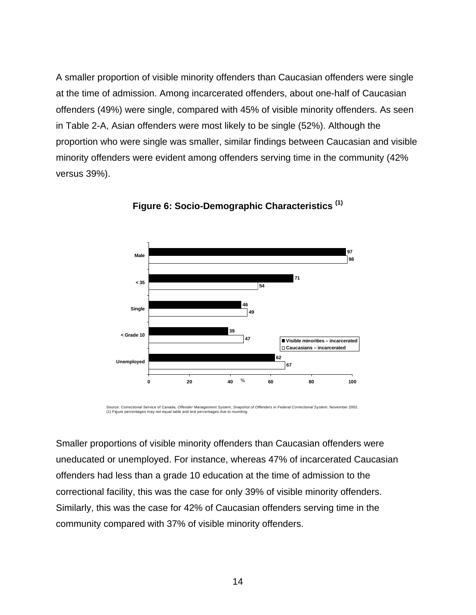A smaller proportion of visible minority offenders than Caucasian offenders were single at the time of admission. Among incarcerated offenders, about one-half of Caucasian offenders (49%) were single, compared with 45% of visible minority offenders. As seen in Table 2-A, Asian offenders were most likely to be single (52%). Although the proportion who were single was smaller, similar findings between Caucasian and visible minority offenders were evident among offenders serving time in the community (42% versus 39%).



**Figure 6: Socio-Demographic Characteristics (1)**

Source: Correctional Service of Canada, O*ffender Management System, Snapshot of Offenders in Federal Correctional System,* November 2002.<br>(1) Figure percentages may not equal table and text percentages due to rounding.

Smaller proportions of visible minority offenders than Caucasian offenders were uneducated or unemployed. For instance, whereas 47% of incarcerated Caucasian offenders had less than a grade 10 education at the time of admission to the correctional facility, this was the case for only 39% of visible minority offenders. Similarly, this was the case for 42% of Caucasian offenders serving time in the community compared with 37% of visible minority offenders.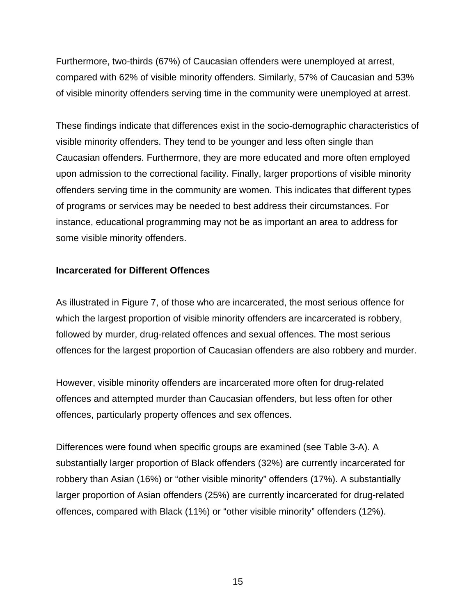<span id="page-20-0"></span>Furthermore, two-thirds (67%) of Caucasian offenders were unemployed at arrest, compared with 62% of visible minority offenders. Similarly, 57% of Caucasian and 53% of visible minority offenders serving time in the community were unemployed at arrest.

These findings indicate that differences exist in the socio-demographic characteristics of visible minority offenders. They tend to be younger and less often single than Caucasian offenders. Furthermore, they are more educated and more often employed upon admission to the correctional facility. Finally, larger proportions of visible minority offenders serving time in the community are women. This indicates that different types of programs or services may be needed to best address their circumstances. For instance, educational programming may not be as important an area to address for some visible minority offenders.

## **Incarcerated for Different Offences**

As illustrated in Figure 7, of those who are incarcerated, the most serious offence for which the largest proportion of visible minority offenders are incarcerated is robbery, followed by murder, drug-related offences and sexual offences. The most serious offences for the largest proportion of Caucasian offenders are also robbery and murder.

However, visible minority offenders are incarcerated more often for drug-related offences and attempted murder than Caucasian offenders, but less often for other offences, particularly property offences and sex offences.

Differences were found when specific groups are examined (see Table 3-A). A substantially larger proportion of Black offenders (32%) are currently incarcerated for robbery than Asian (16%) or "other visible minority" offenders (17%). A substantially larger proportion of Asian offenders (25%) are currently incarcerated for drug-related offences, compared with Black (11%) or "other visible minority" offenders (12%).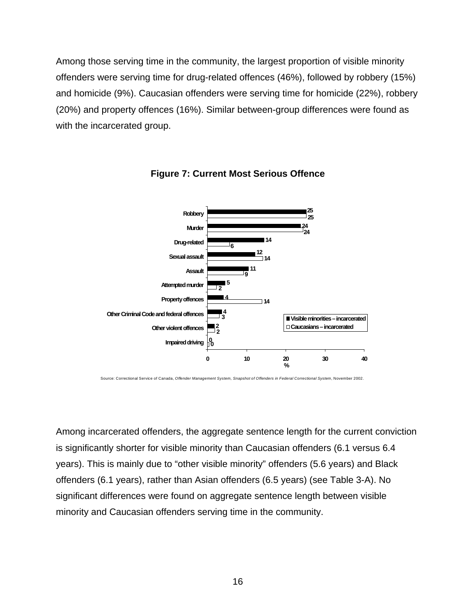Among those serving time in the community, the largest proportion of visible minority offenders were serving time for drug-related offences (46%), followed by robbery (15%) and homicide (9%). Caucasian offenders were serving time for homicide (22%), robbery (20%) and property offences (16%). Similar between-group differences were found as with the incarcerated group.





Source: Correctional Service of Canada, *Offender Management System, Snapshot of Offenders in Federal Correctional System*, November 2002.

Among incarcerated offenders, the aggregate sentence length for the current conviction is significantly shorter for visible minority than Caucasian offenders (6.1 versus 6.4 years). This is mainly due to "other visible minority" offenders (5.6 years) and Black offenders (6.1 years), rather than Asian offenders (6.5 years) (see Table 3-A). No significant differences were found on aggregate sentence length between visible minority and Caucasian offenders serving time in the community.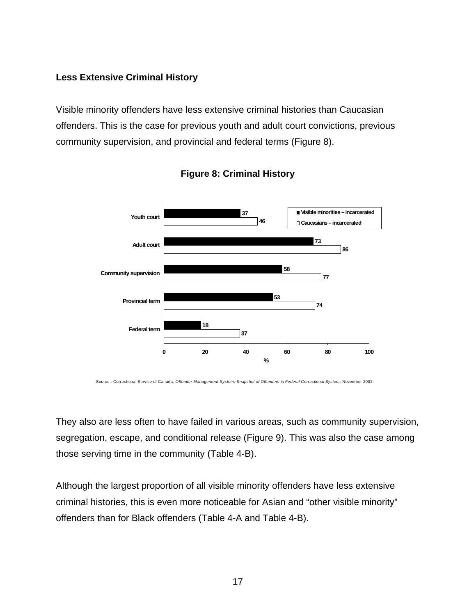## **Less Extensive Criminal History**

Visible minority offenders have less extensive criminal histories than Caucasian offenders. This is the case for previous youth and adult court convictions, previous community supervision, and provincial and federal terms (Figure 8).





Source : Correctional Service of Canada, *Offender Management System, Snapshot of Offenders in Federal Correctional System*, November 2002.

They also are less often to have failed in various areas, such as community supervision, segregation, escape, and conditional release (Figure 9). This was also the case among those serving time in the community (Table 4-B).

Although the largest proportion of all visible minority offenders have less extensive criminal histories, this is even more noticeable for Asian and "other visible minority" offenders than for Black offenders (Table 4-A and Table 4-B).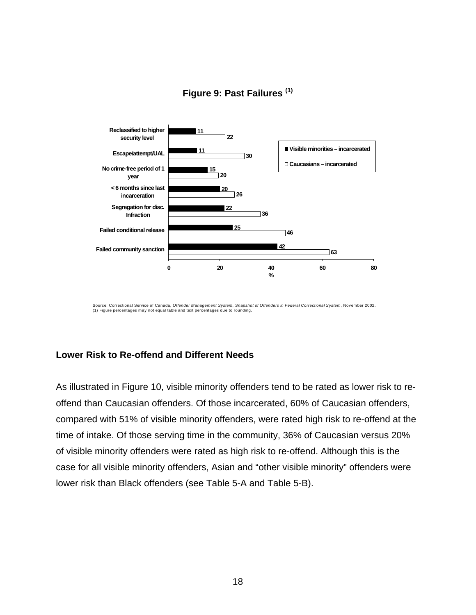

# **Figure 9: Past Failures (1)**

Source: Correctional Service of Canada, *Offender Management System, Snapshot of Offenders in Federal Correctional System*, November 2002.<br>(1) Figure percentages may not equal table and text percentages due to rounding.

## **Lower Risk to Re-offend and Different Needs**

As illustrated in Figure 10, visible minority offenders tend to be rated as lower risk to reoffend than Caucasian offenders. Of those incarcerated, 60% of Caucasian offenders, compared with 51% of visible minority offenders, were rated high risk to re-offend at the time of intake. Of those serving time in the community, 36% of Caucasian versus 20% of visible minority offenders were rated as high risk to re-offend. Although this is the case for all visible minority offenders, Asian and "other visible minority" offenders were lower risk than Black offenders (see Table 5-A and Table 5-B).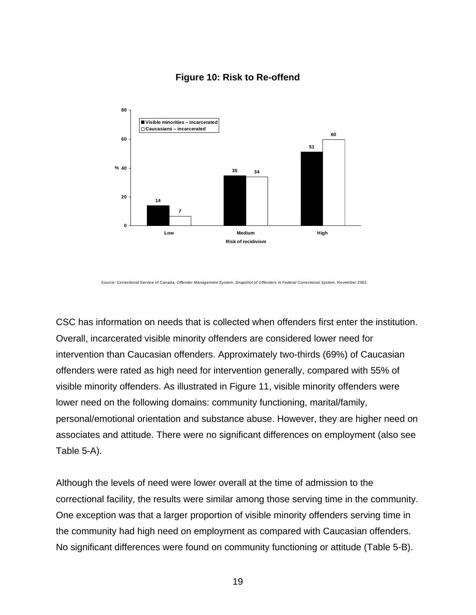

## **Figure 10: Risk to Re-offend**

Source: Correctional Service of Canada, *Offender Management System, Snapshot of Offenders in Federal Correctional System*, November 2002.

CSC has information on needs that is collected when offenders first enter the institution. Overall, incarcerated visible minority offenders are considered lower need for intervention than Caucasian offenders. Approximately two-thirds (69%) of Caucasian offenders were rated as high need for intervention generally, compared with 55% of visible minority offenders. As illustrated in Figure 11, visible minority offenders were lower need on the following domains: community functioning, marital/family, personal/emotional orientation and substance abuse. However, they are higher need on associates and attitude. There were no significant differences on employment (also see Table 5-A).

Although the levels of need were lower overall at the time of admission to the correctional facility, the results were similar among those serving time in the community. One exception was that a larger proportion of visible minority offenders serving time in the community had high need on employment as compared with Caucasian offenders. No significant differences were found on community functioning or attitude (Table 5-B).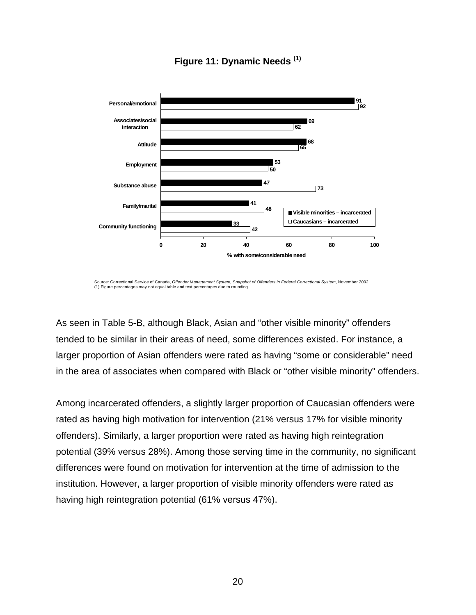

# **Figure 11: Dynamic Needs (1)**

As seen in Table 5-B, although Black, Asian and "other visible minority" offenders tended to be similar in their areas of need, some differences existed. For instance, a larger proportion of Asian offenders were rated as having "some or considerable" need in the area of associates when compared with Black or "other visible minority" offenders.

Among incarcerated offenders, a slightly larger proportion of Caucasian offenders were rated as having high motivation for intervention (21% versus 17% for visible minority offenders). Similarly, a larger proportion were rated as having high reintegration potential (39% versus 28%). Among those serving time in the community, no significant differences were found on motivation for intervention at the time of admission to the institution. However, a larger proportion of visible minority offenders were rated as having high reintegration potential (61% versus 47%).

Source: Correctional Service of Canada, *Offender Management System, Snapshot of Offenders in Federal Correctional System*, November 2002. (1) Figure percentages may not equal table and text percentages due to rounding.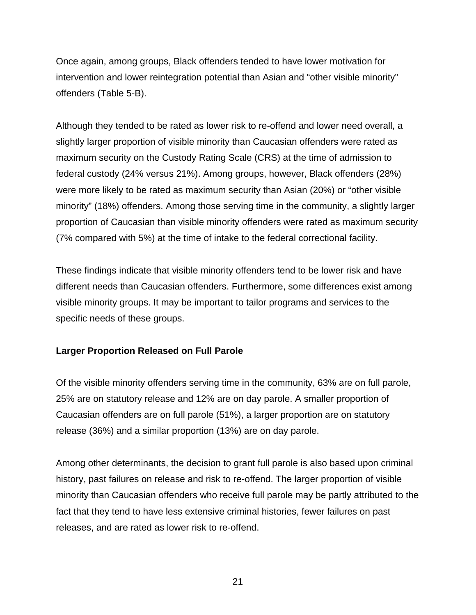Once again, among groups, Black offenders tended to have lower motivation for intervention and lower reintegration potential than Asian and "other visible minority" offenders (Table 5-B).

Although they tended to be rated as lower risk to re-offend and lower need overall, a slightly larger proportion of visible minority than Caucasian offenders were rated as maximum security on the Custody Rating Scale (CRS) at the time of admission to federal custody (24% versus 21%). Among groups, however, Black offenders (28%) were more likely to be rated as maximum security than Asian (20%) or "other visible minority" (18%) offenders. Among those serving time in the community, a slightly larger proportion of Caucasian than visible minority offenders were rated as maximum security (7% compared with 5%) at the time of intake to the federal correctional facility.

These findings indicate that visible minority offenders tend to be lower risk and have different needs than Caucasian offenders. Furthermore, some differences exist among visible minority groups. It may be important to tailor programs and services to the specific needs of these groups.

## **Larger Proportion Released on Full Parole**

Of the visible minority offenders serving time in the community, 63% are on full parole, 25% are on statutory release and 12% are on day parole. A smaller proportion of Caucasian offenders are on full parole (51%), a larger proportion are on statutory release (36%) and a similar proportion (13%) are on day parole.

Among other determinants, the decision to grant full parole is also based upon criminal history, past failures on release and risk to re-offend. The larger proportion of visible minority than Caucasian offenders who receive full parole may be partly attributed to the fact that they tend to have less extensive criminal histories, fewer failures on past releases, and are rated as lower risk to re-offend.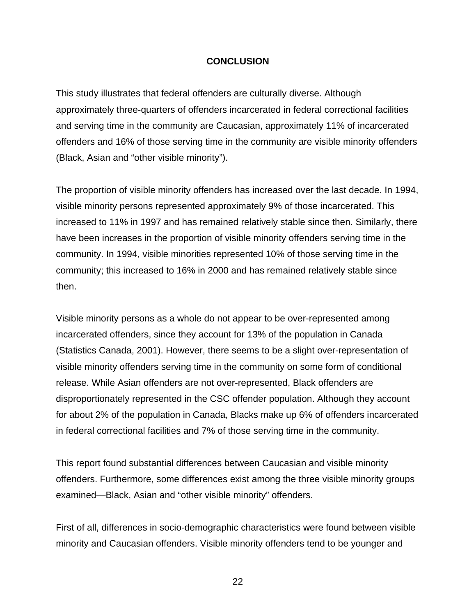### **CONCLUSION**

This study illustrates that federal offenders are culturally diverse. Although approximately three-quarters of offenders incarcerated in federal correctional facilities and serving time in the community are Caucasian, approximately 11% of incarcerated offenders and 16% of those serving time in the community are visible minority offenders (Black, Asian and "other visible minority").

The proportion of visible minority offenders has increased over the last decade. In 1994, visible minority persons represented approximately 9% of those incarcerated. This increased to 11% in 1997 and has remained relatively stable since then. Similarly, there have been increases in the proportion of visible minority offenders serving time in the community. In 1994, visible minorities represented 10% of those serving time in the community; this increased to 16% in 2000 and has remained relatively stable since then.

Visible minority persons as a whole do not appear to be over-represented among incarcerated offenders, since they account for 13% of the population in Canada (Statistics Canada, 2001). However, there seems to be a slight over-representation of visible minority offenders serving time in the community on some form of conditional release. While Asian offenders are not over-represented, Black offenders are disproportionately represented in the CSC offender population. Although they account for about 2% of the population in Canada, Blacks make up 6% of offenders incarcerated in federal correctional facilities and 7% of those serving time in the community.

This report found substantial differences between Caucasian and visible minority offenders. Furthermore, some differences exist among the three visible minority groups examined—Black, Asian and "other visible minority" offenders.

First of all, differences in socio-demographic characteristics were found between visible minority and Caucasian offenders. Visible minority offenders tend to be younger and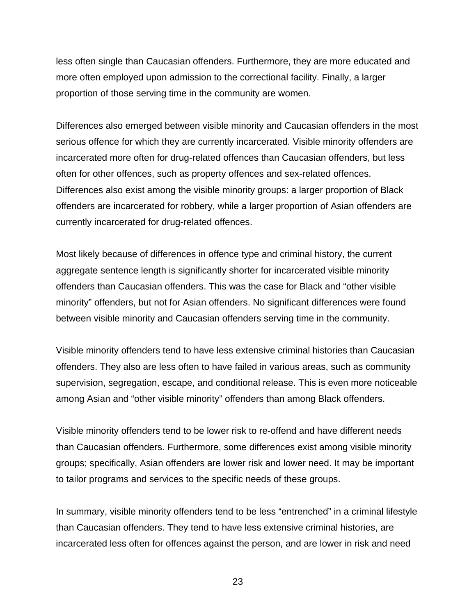less often single than Caucasian offenders. Furthermore, they are more educated and more often employed upon admission to the correctional facility. Finally, a larger proportion of those serving time in the community are women.

Differences also emerged between visible minority and Caucasian offenders in the most serious offence for which they are currently incarcerated. Visible minority offenders are incarcerated more often for drug-related offences than Caucasian offenders, but less often for other offences, such as property offences and sex-related offences. Differences also exist among the visible minority groups: a larger proportion of Black offenders are incarcerated for robbery, while a larger proportion of Asian offenders are currently incarcerated for drug-related offences.

Most likely because of differences in offence type and criminal history, the current aggregate sentence length is significantly shorter for incarcerated visible minority offenders than Caucasian offenders. This was the case for Black and "other visible minority" offenders, but not for Asian offenders. No significant differences were found between visible minority and Caucasian offenders serving time in the community.

Visible minority offenders tend to have less extensive criminal histories than Caucasian offenders. They also are less often to have failed in various areas, such as community supervision, segregation, escape, and conditional release. This is even more noticeable among Asian and "other visible minority" offenders than among Black offenders.

Visible minority offenders tend to be lower risk to re-offend and have different needs than Caucasian offenders. Furthermore, some differences exist among visible minority groups; specifically, Asian offenders are lower risk and lower need. It may be important to tailor programs and services to the specific needs of these groups.

In summary, visible minority offenders tend to be less "entrenched" in a criminal lifestyle than Caucasian offenders. They tend to have less extensive criminal histories, are incarcerated less often for offences against the person, and are lower in risk and need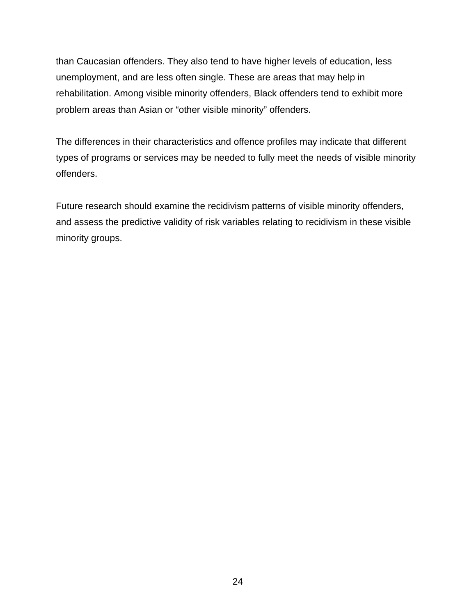than Caucasian offenders. They also tend to have higher levels of education, less unemployment, and are less often single. These are areas that may help in rehabilitation. Among visible minority offenders, Black offenders tend to exhibit more problem areas than Asian or "other visible minority" offenders.

The differences in their characteristics and offence profiles may indicate that different types of programs or services may be needed to fully meet the needs of visible minority offenders.

Future research should examine the recidivism patterns of visible minority offenders, and assess the predictive validity of risk variables relating to recidivism in these visible minority groups.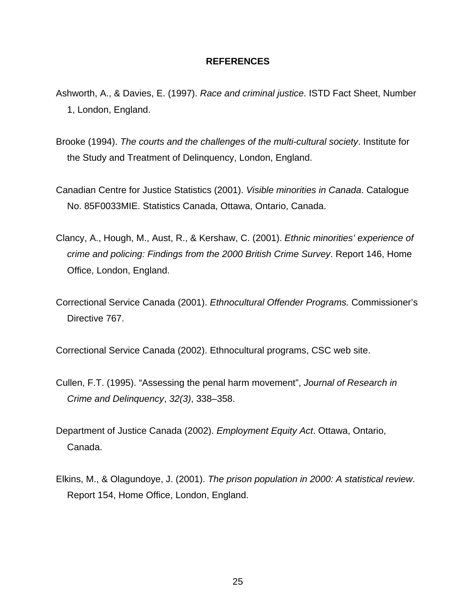#### **REFERENCES**

- Ashworth, A., & Davies, E. (1997). *Race and criminal justice*. ISTD Fact Sheet, Number 1, London, England.
- Brooke (1994). *The courts and the challenges of the multi-cultural society*. Institute for the Study and Treatment of Delinquency, London, England.
- Canadian Centre for Justice Statistics (2001). *Visible minorities in Canada*. Catalogue No. 85F0033MIE. Statistics Canada, Ottawa, Ontario, Canada.
- Clancy, A., Hough, M., Aust, R., & Kershaw, C. (2001). *Ethnic minorities' experience of crime and policing: Findings from the 2000 British Crime Survey*. Report 146, Home Office, London, England.
- Correctional Service Canada (2001). *Ethnocultural Offender Programs.* Commissioner's Directive 767.

Correctional Service Canada (2002). Ethnocultural programs, CSC web site.

- Cullen, F.T. (1995). "Assessing the penal harm movement", *Journal of Research in Crime and Delinquency*, *32(3)*, 338–358.
- Department of Justice Canada (2002). *Employment Equity Act*. Ottawa, Ontario, Canada.
- Elkins, M., & Olagundoye, J. (2001). *The prison population in 2000: A statistical review*. Report 154, Home Office, London, England.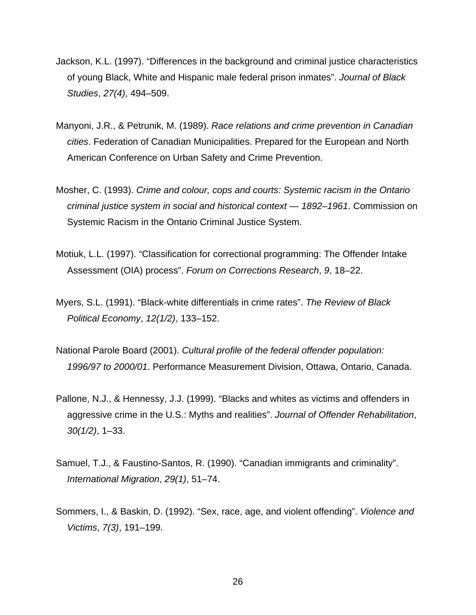- Jackson, K.L. (1997). "Differences in the background and criminal justice characteristics of young Black, White and Hispanic male federal prison inmates". *Journal of Black Studies*, *27(4)*, 494–509.
- Manyoni, J.R., & Petrunik, M. (1989). *Race relations and crime prevention in Canadian cities*. Federation of Canadian Municipalities. Prepared for the European and North American Conference on Urban Safety and Crime Prevention.
- Mosher, C. (1993). *Crime and colour, cops and courts: Systemic racism in the Ontario criminal justice system in social and historical context — 1892–1961*. Commission on Systemic Racism in the Ontario Criminal Justice System.
- Motiuk, L.L. (1997). "Classification for correctional programming: The Offender Intake Assessment (OIA) process". *Forum on Corrections Research*, *9*, 18–22.
- Myers, S.L. (1991). "Black-white differentials in crime rates". *The Review of Black Political Economy*, *12(1/2)*, 133–152.
- National Parole Board (2001). *Cultural profile of the federal offender population: 1996/97 to 2000/01*. Performance Measurement Division, Ottawa, Ontario, Canada.
- Pallone, N.J., & Hennessy, J.J. (1999). "Blacks and whites as victims and offenders in aggressive crime in the U.S.: Myths and realities". *Journal of Offender Rehabilitation*, *30(1/2)*, 1–33.
- Samuel, T.J., & Faustino-Santos, R. (1990). "Canadian immigrants and criminality". *International Migration*, *29(1)*, 51–74.
- Sommers, I., & Baskin, D. (1992). "Sex, race, age, and violent offending". *Violence and Victims*, *7(3)*, 191–199.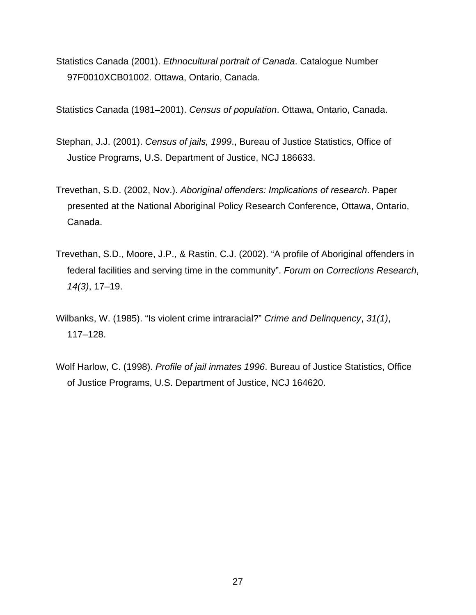Statistics Canada (2001). *Ethnocultural portrait of Canada*. Catalogue Number 97F0010XCB01002. Ottawa, Ontario, Canada.

Statistics Canada (1981–2001). *Census of population*. Ottawa, Ontario, Canada.

- Stephan, J.J. (2001). *Census of jails, 1999*., Bureau of Justice Statistics, Office of Justice Programs, U.S. Department of Justice, NCJ 186633.
- Trevethan, S.D. (2002, Nov.). *Aboriginal offenders: Implications of research*. Paper presented at the National Aboriginal Policy Research Conference, Ottawa, Ontario, Canada.
- Trevethan, S.D., Moore, J.P., & Rastin, C.J. (2002). "A profile of Aboriginal offenders in federal facilities and serving time in the community". *Forum on Corrections Research*, *14(3)*, 17–19.
- Wilbanks, W. (1985). "Is violent crime intraracial?" *Crime and Delinquency*, *31(1)*, 117–128.
- Wolf Harlow, C. (1998). *Profile of jail inmates 1996*. Bureau of Justice Statistics, Office of Justice Programs, U.S. Department of Justice, NCJ 164620.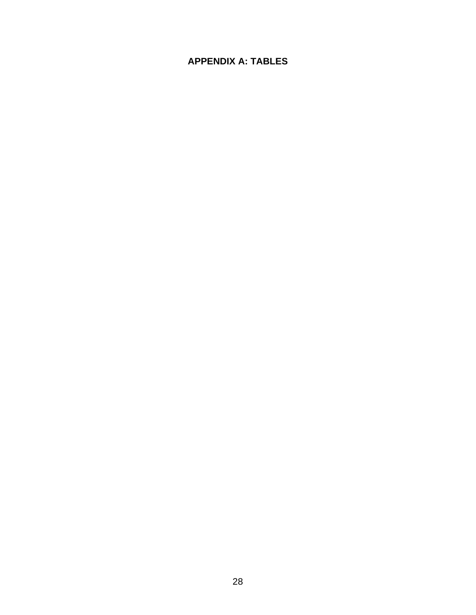# **APPENDIX A: TABLES**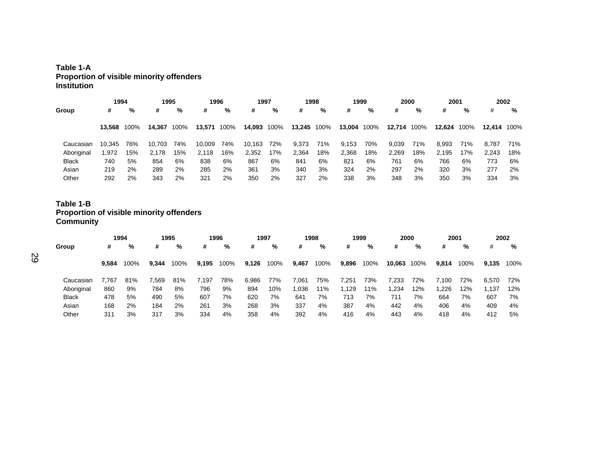#### **Table 1-A Proportion of visible minority offenders Institution**

| Group        | 1994   |      | 1995   |      | 1996   |      | 1997   |      | 1998        |     | 1999   |      |             | 2000 | 2001   |      |        | 2002 |
|--------------|--------|------|--------|------|--------|------|--------|------|-------------|-----|--------|------|-------------|------|--------|------|--------|------|
|              | #      | %    | #      | %    | #      | %    | #      | %    | #           | %   | #      | %    | #           | %    | #      | %    | #      | %    |
|              | 13.568 | 100% | 14.367 | 100% | 13.571 | 100% | 14,093 | 100% | 13,245 100% |     | 13,004 | 100% | 12,714 100% |      | 12,624 | 100% | 12.414 | 100% |
| Caucasian    | 10.345 | 76%  | 10.703 | 74%  | 10.009 | 74%  | 10,163 | 72%  | 9,373       | 71% | 9,153  | 70%  | 9,039       | 71%  | 8,993  | 71%  | 8.787  | 71%  |
| Aboriginal   | .972   | 15%  | 2,178  | 15%  | 2.118  | 16%  | 2,352  | 17%  | 2,364       | 18% | 2,368  | 18%  | 2,269       | 18%  | 2.195  | 17%  | 2,243  | 18%  |
| <b>Black</b> | 740    | 5%   | 854    | 6%   | 838    | 6%   | 867    | 6%   | 841         | 6%  | 821    | 6%   | 761         | 6%   | 766    | 6%   | 773    | 6%   |
| Asian        | 219    | 2%   | 289    | 2%   | 285    | 2%   | 361    | 3%   | 340         | 3%  | 324    | 2%   | 297         | 2%   | 320    | 3%   | 277    | 2%   |
| Other        | 292    | 2%   | 343    | 2%   | 321    | 2%   | 350    | 2%   | 327         | 2%  | 338    | 3%   | 348         | 3%   | 350    | 3%   | 334    | 3%   |

# **Table 1-B Proportion of visible minority offenders Community**

| Group        | 1994  |      |       |      |       | 1995 |       | 1996 |       | 1997 |       | 1998 |             | 1999 | 2000  |      | 2001  |      |  | 2002 |
|--------------|-------|------|-------|------|-------|------|-------|------|-------|------|-------|------|-------------|------|-------|------|-------|------|--|------|
|              | #     | %    | #     | %    | #     | %    | #     | %    | #     | %    | #     | %    | #           | %    | #     | %    | #     | %    |  |      |
|              | 9.584 | 100% | 9.344 | 100% | 9.195 | 100% | 9,126 | 100% | 9,467 | 100% | 9,896 | 100% | 10,063 100% |      | 9,814 | 100% | 9.135 | 100% |  |      |
| Caucasian    | 7.767 | 81%  | 7.569 | 81%  | 7,197 | 78%  | 6,986 | 77%  | 7,061 | 75%  | 7,251 | 73%  | 7,233       | 72%  | 7.100 | 72%  | 6.570 | 72%  |  |      |
| Aboriginal   | 860   | 9%   | 784   | 8%   | 796   | 9%   | 894   | 10%  | 1,036 | 11%  | 1,129 | 11%  | 1,234       | 12%  | ,226  | 12%  | 1,137 | 12%  |  |      |
| <b>Black</b> | 478   | 5%   | 490   | 5%   | 607   | 7%   | 620   | 7%   | 641   | 7%   | 713   | 7%   | 711         | 7%   | 664   | 7%   | 607   | 7%   |  |      |
| Asian        | 168   | 2%   | 184   | 2%   | 261   | 3%   | 268   | 3%   | 337   | 4%   | 387   | 4%   | 442         | 4%   | 406   | 4%   | 409   | 4%   |  |      |
| Other        | 311   | 3%   | 317   | 3%   | 334   | 4%   | 358   | 4%   | 392   | 4%   | 416   | 4%   | 443         | 4%   | 418   | 4%   | 412   | 5%   |  |      |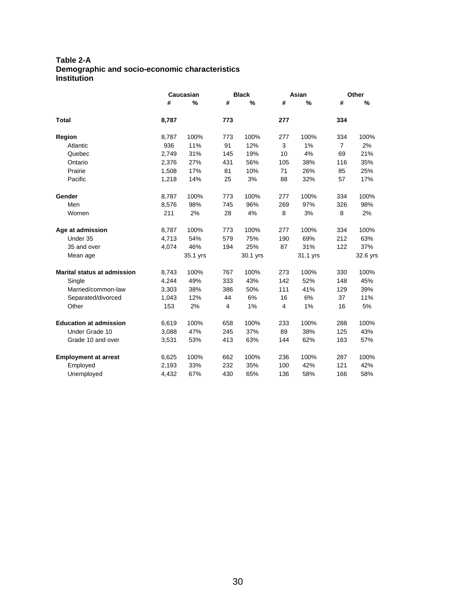#### **Table 2-A Demographic and socio-economic characteristics Institution**

|                                    |       | Caucasian |     | <b>Black</b> |     | Asian    |                | Other    |
|------------------------------------|-------|-----------|-----|--------------|-----|----------|----------------|----------|
|                                    | #     | %         | #   | %            | #   | $\%$     | #              | %        |
| <b>Total</b>                       | 8,787 |           | 773 |              | 277 |          | 334            |          |
| Region                             | 8,787 | 100%      | 773 | 100%         | 277 | 100%     | 334            | 100%     |
| Atlantic                           | 936   | 11%       | 91  | 12%          | 3   | 1%       | $\overline{7}$ | 2%       |
| Quebec                             | 2,749 | 31%       | 145 | 19%          | 10  | 4%       | 69             | 21%      |
| Ontario                            | 2,376 | 27%       | 431 | 56%          | 105 | 38%      | 116            | 35%      |
| Prairie                            | 1,508 | 17%       | 81  | 10%          | 71  | 26%      | 85             | 25%      |
| Pacific                            | 1,218 | 14%       | 25  | 3%           | 88  | 32%      | 57             | 17%      |
| Gender                             | 8,787 | 100%      | 773 | 100%         | 277 | 100%     | 334            | 100%     |
| Men                                | 8,576 | 98%       | 745 | 96%          | 269 | 97%      | 326            | 98%      |
| Women                              | 211   | 2%        | 28  | 4%           | 8   | 3%       | 8              | 2%       |
| Age at admission                   | 8,787 | 100%      | 773 | 100%         | 277 | 100%     | 334            | 100%     |
| Under 35                           | 4,713 | 54%       | 579 | 75%          | 190 | 69%      | 212            | 63%      |
| 35 and over                        | 4,074 | 46%       | 194 | 25%          | 87  | 31%      | 122            | 37%      |
| Mean age                           |       | 35.1 yrs  |     | 30.1 yrs     |     | 31.1 yrs |                | 32.6 yrs |
| <b>Marital status at admission</b> | 8,743 | 100%      | 767 | 100%         | 273 | 100%     | 330            | 100%     |
| Single                             | 4,244 | 49%       | 333 | 43%          | 142 | 52%      | 148            | 45%      |
| Married/common-law                 | 3,303 | 38%       | 386 | 50%          | 111 | 41%      | 129            | 39%      |
| Separated/divorced                 | 1,043 | 12%       | 44  | 6%           | 16  | 6%       | 37             | 11%      |
| Other                              | 153   | 2%        | 4   | 1%           | 4   | 1%       | 16             | 5%       |
| <b>Education at admission</b>      | 6,619 | 100%      | 658 | 100%         | 233 | 100%     | 288            | 100%     |
| Under Grade 10                     | 3,088 | 47%       | 245 | 37%          | 89  | 38%      | 125            | 43%      |
| Grade 10 and over                  | 3,531 | 53%       | 413 | 63%          | 144 | 62%      | 163            | 57%      |
| <b>Employment at arrest</b>        | 6,625 | 100%      | 662 | 100%         | 236 | 100%     | 287            | 100%     |
| Employed                           | 2,193 | 33%       | 232 | 35%          | 100 | 42%      | 121            | 42%      |
| Unemployed                         | 4,432 | 67%       | 430 | 65%          | 136 | 58%      | 166            | 58%      |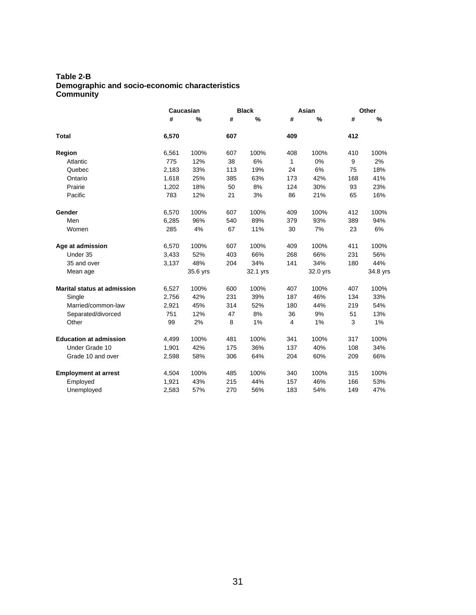#### **Table 2-B Demographic and socio-economic characteristics Community**

|                                    |       | Caucasian |     | <b>Black</b> |     | Asian    | Other |          |
|------------------------------------|-------|-----------|-----|--------------|-----|----------|-------|----------|
|                                    | #     | %         | #   | %            | #   | $\%$     | #     | %        |
| <b>Total</b>                       | 6,570 |           | 607 |              | 409 |          | 412   |          |
| Region                             | 6,561 | 100%      | 607 | 100%         | 408 | 100%     | 410   | 100%     |
| Atlantic                           | 775   | 12%       | 38  | 6%           | 1   | 0%       | 9     | 2%       |
| Quebec                             | 2,183 | 33%       | 113 | 19%          | 24  | 6%       | 75    | 18%      |
| Ontario                            | 1,618 | 25%       | 385 | 63%          | 173 | 42%      | 168   | 41%      |
| Prairie                            | 1,202 | 18%       | 50  | 8%           | 124 | 30%      | 93    | 23%      |
| Pacific                            | 783   | 12%       | 21  | 3%           | 86  | 21%      | 65    | 16%      |
| Gender                             | 6,570 | 100%      | 607 | 100%         | 409 | 100%     | 412   | 100%     |
| Men                                | 6,285 | 96%       | 540 | 89%          | 379 | 93%      | 389   | 94%      |
| Women                              | 285   | 4%        | 67  | 11%          | 30  | 7%       | 23    | 6%       |
| Age at admission                   | 6,570 | 100%      | 607 | 100%         | 409 | 100%     | 411   | 100%     |
| Under 35                           | 3,433 | 52%       | 403 | 66%          | 268 | 66%      | 231   | 56%      |
| 35 and over                        | 3,137 | 48%       | 204 | 34%          | 141 | 34%      | 180   | 44%      |
| Mean age                           |       | 35.6 yrs  |     | 32.1 yrs     |     | 32.0 yrs |       | 34.8 yrs |
| <b>Marital status at admission</b> | 6,527 | 100%      | 600 | 100%         | 407 | 100%     | 407   | 100%     |
| Single                             | 2,756 | 42%       | 231 | 39%          | 187 | 46%      | 134   | 33%      |
| Married/common-law                 | 2,921 | 45%       | 314 | 52%          | 180 | 44%      | 219   | 54%      |
| Separated/divorced                 | 751   | 12%       | 47  | 8%           | 36  | 9%       | 51    | 13%      |
| Other                              | 99    | 2%        | 8   | 1%           | 4   | 1%       | 3     | 1%       |
| <b>Education at admission</b>      | 4,499 | 100%      | 481 | 100%         | 341 | 100%     | 317   | 100%     |
| Under Grade 10                     | 1,901 | 42%       | 175 | 36%          | 137 | 40%      | 108   | 34%      |
| Grade 10 and over                  | 2,598 | 58%       | 306 | 64%          | 204 | 60%      | 209   | 66%      |
| <b>Employment at arrest</b>        | 4,504 | 100%      | 485 | 100%         | 340 | 100%     | 315   | 100%     |
| Employed                           | 1,921 | 43%       | 215 | 44%          | 157 | 46%      | 166   | 53%      |
| Unemployed                         | 2,583 | 57%       | 270 | 56%          | 183 | 54%      | 149   | 47%      |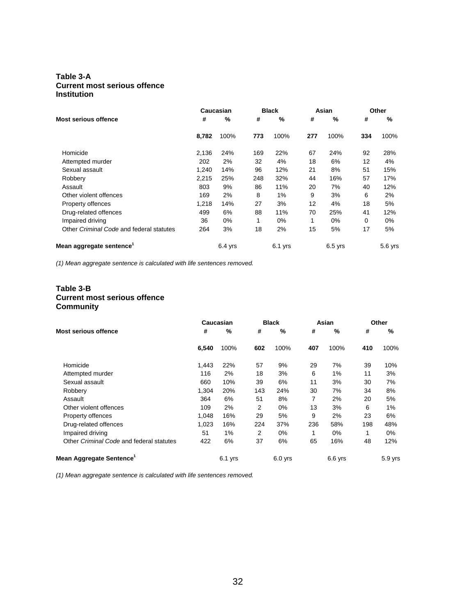#### **Table 3-A Current most serious offence Institution**

|                                          |       | Caucasian |     | <b>Black</b> |     | Asian     | Other    |           |
|------------------------------------------|-------|-----------|-----|--------------|-----|-----------|----------|-----------|
| <b>Most serious offence</b>              | #     | %         | #   | %            | #   | %         | #        | %         |
|                                          | 8,782 | 100%      | 773 | 100%         | 277 | 100%      | 334      | 100%      |
| Homicide                                 | 2,136 | 24%       | 169 | 22%          | 67  | 24%       | 92       | 28%       |
| Attempted murder                         | 202   | 2%        | 32  | 4%           | 18  | 6%        | 12       | 4%        |
| Sexual assault                           | 1.240 | 14%       | 96  | 12%          | 21  | 8%        | 51       | 15%       |
| Robbery                                  | 2,215 | 25%       | 248 | 32%          | 44  | 16%       | 57       | 17%       |
| Assault                                  | 803   | 9%        | 86  | 11%          | 20  | 7%        | 40       | 12%       |
| Other violent offences                   | 169   | 2%        | 8   | 1%           | 9   | 3%        | 6        | 2%        |
| Property offences                        | 1,218 | 14%       | 27  | 3%           | 12  | 4%        | 18       | 5%        |
| Drug-related offences                    | 499   | 6%        | 88  | 11%          | 70  | 25%       | 41       | 12%       |
| Impaired driving                         | 36    | $0\%$     | 1   | 0%           | 1   | $0\%$     | $\Omega$ | 0%        |
| Other Criminal Code and federal statutes | 264   | 3%        | 18  | 2%           | 15  | 5%        | 17       | 5%        |
| Mean aggregate sentence                  |       | $6.4$ yrs |     | 6.1 yrs      |     | $6.5$ yrs |          | $5.6$ yrs |

*(1) Mean aggregate sentence is calculated with life sentences removed.* 

#### **Table 3-B Current most serious offence Community**

|                                                                                                     |       | Caucasian |                | <b>Black</b> |     | Asian     | Other |         |
|-----------------------------------------------------------------------------------------------------|-------|-----------|----------------|--------------|-----|-----------|-------|---------|
| <b>Most serious offence</b><br>Homicide<br>Attempted murder<br>Sexual assault<br>Robbery<br>Assault | #     | %         | #              | %            | #   | %         | #     | %       |
|                                                                                                     | 6,540 | 100%      | 602            | 100%         | 407 | 100%      | 410   | 100%    |
|                                                                                                     | 1,443 | 22%       | 57             | 9%           | 29  | 7%        | 39    | 10%     |
|                                                                                                     | 116   | 2%        | 18             | 3%           | 6   | 1%        | 11    | 3%      |
|                                                                                                     | 660   | 10%       | 39             | 6%           | 11  | 3%        | 30    | 7%      |
|                                                                                                     | 1,304 | 20%       | 143            | 24%          | 30  | 7%        | 34    | 8%      |
|                                                                                                     | 364   | 6%        | 51             | 8%           | 7   | 2%        | 20    | 5%      |
| Other violent offences                                                                              | 109   | 2%        | 2              | $0\%$        | 13  | 3%        | 6     | 1%      |
| Property offences                                                                                   | 1.048 | 16%       | 29             | 5%           | 9   | 2%        | 23    | 6%      |
| Drug-related offences                                                                               | 1,023 | 16%       | 224            | 37%          | 236 | 58%       | 198   | 48%     |
| Impaired driving                                                                                    | 51    | 1%        | $\overline{2}$ | $0\%$        | 1   | $0\%$     | 1     | 0%      |
| Other Criminal Code and federal statutes                                                            | 422   | 6%        | 37             | 6%           | 65  | 16%       | 48    | 12%     |
| Mean Aggregate Sentence <sup>1</sup>                                                                |       | $6.1$ yrs |                | $6.0$ yrs    |     | $6.6$ yrs |       | 5.9 yrs |

*(1) Mean aggregate sentence is calculated with life sentences removed.*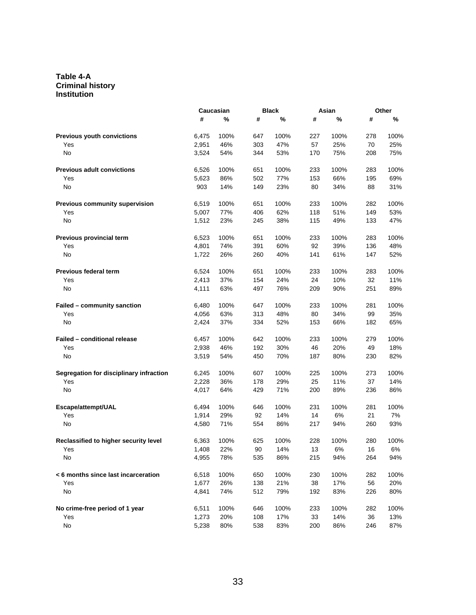#### **Table 4-A Criminal history Institution**

|                                         |       | Caucasian |     | <b>Black</b> |     | Asian |     | Other |
|-----------------------------------------|-------|-----------|-----|--------------|-----|-------|-----|-------|
|                                         | #     | %         | #   | %            | #   | %     | #   | %     |
| <b>Previous youth convictions</b>       | 6,475 | 100%      | 647 | 100%         | 227 | 100%  | 278 | 100%  |
| Yes                                     | 2,951 | 46%       | 303 | 47%          | 57  | 25%   | 70  | 25%   |
| No                                      | 3,524 | 54%       | 344 | 53%          | 170 | 75%   | 208 | 75%   |
| <b>Previous adult convictions</b>       | 6,526 | 100%      | 651 | 100%         | 233 | 100%  | 283 | 100%  |
| Yes                                     | 5,623 | 86%       | 502 | 77%          | 153 | 66%   | 195 | 69%   |
| No                                      | 903   | 14%       | 149 | 23%          | 80  | 34%   | 88  | 31%   |
| Previous community supervision          | 6,519 | 100%      | 651 | 100%         | 233 | 100%  | 282 | 100%  |
| Yes                                     | 5,007 | 77%       | 406 | 62%          | 118 | 51%   | 149 | 53%   |
| No                                      | 1,512 | 23%       | 245 | 38%          | 115 | 49%   | 133 | 47%   |
| Previous provincial term                | 6,523 | 100%      | 651 | 100%         | 233 | 100%  | 283 | 100%  |
| Yes                                     | 4,801 | 74%       | 391 | 60%          | 92  | 39%   | 136 | 48%   |
| No                                      | 1,722 | 26%       | 260 | 40%          | 141 | 61%   | 147 | 52%   |
| <b>Previous federal term</b>            | 6,524 | 100%      | 651 | 100%         | 233 | 100%  | 283 | 100%  |
| Yes                                     | 2,413 | 37%       | 154 | 24%          | 24  | 10%   | 32  | 11%   |
| No                                      | 4,111 | 63%       | 497 | 76%          | 209 | 90%   | 251 | 89%   |
| Failed - community sanction             | 6.480 | 100%      | 647 | 100%         | 233 | 100%  | 281 | 100%  |
| Yes                                     | 4,056 | 63%       | 313 | 48%          | 80  | 34%   | 99  | 35%   |
| No                                      | 2,424 | 37%       | 334 | 52%          | 153 | 66%   | 182 | 65%   |
| <b>Failed - conditional release</b>     | 6,457 | 100%      | 642 | 100%         | 233 | 100%  | 279 | 100%  |
| Yes                                     | 2,938 | 46%       | 192 | 30%          | 46  | 20%   | 49  | 18%   |
| No                                      | 3,519 | 54%       | 450 | 70%          | 187 | 80%   | 230 | 82%   |
| Segregation for disciplinary infraction | 6,245 | 100%      | 607 | 100%         | 225 | 100%  | 273 | 100%  |
| Yes                                     | 2,228 | 36%       | 178 | 29%          | 25  | 11%   | 37  | 14%   |
| No                                      | 4,017 | 64%       | 429 | 71%          | 200 | 89%   | 236 | 86%   |
| Escape/attempt/UAL                      | 6,494 | 100%      | 646 | 100%         | 231 | 100%  | 281 | 100%  |
| Yes                                     | 1,914 | 29%       | 92  | 14%          | 14  | 6%    | 21  | 7%    |
| No                                      | 4,580 | 71%       | 554 | 86%          | 217 | 94%   | 260 | 93%   |
| Reclassified to higher security level   | 6,363 | 100%      | 625 | 100%         | 228 | 100%  | 280 | 100%  |
| Yes                                     | 1,408 | 22%       | 90  | 14%          | 13  | $6\%$ | 16  | $6\%$ |
| No                                      | 4,955 | 78%       | 535 | 86%          | 215 | 94%   | 264 | 94%   |
| < 6 months since last incarceration     | 6,518 | 100%      | 650 | 100%         | 230 | 100%  | 282 | 100%  |
| Yes                                     | 1,677 | 26%       | 138 | 21%          | 38  | 17%   | 56  | 20%   |
| No                                      | 4,841 | 74%       | 512 | 79%          | 192 | 83%   | 226 | 80%   |
| No crime-free period of 1 year          | 6,511 | 100%      | 646 | 100%         | 233 | 100%  | 282 | 100%  |
| Yes                                     | 1,273 | 20%       | 108 | 17%          | 33  | 14%   | 36  | 13%   |
| No                                      | 5,238 | 80%       | 538 | 83%          | 200 | 86%   | 246 | 87%   |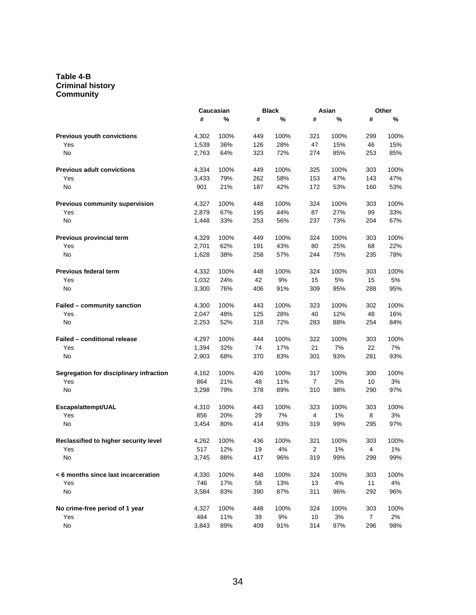#### **Table 4-B Criminal history Community**

|                                         |       | Caucasian |     | <b>Black</b> |                | Asian | Other |      |
|-----------------------------------------|-------|-----------|-----|--------------|----------------|-------|-------|------|
|                                         | #     | %         | #   | %            | #              | %     | #     | %    |
| <b>Previous youth convictions</b>       | 4,302 | 100%      | 449 | 100%         | 321            | 100%  | 299   | 100% |
| Yes                                     | 1,539 | 36%       | 126 | 28%          | 47             | 15%   | 46    | 15%  |
| No                                      | 2,763 | 64%       | 323 | 72%          | 274            | 85%   | 253   | 85%  |
| <b>Previous adult convictions</b>       | 4,334 | 100%      | 449 | 100%         | 325            | 100%  | 303   | 100% |
| Yes                                     | 3,433 | 79%       | 262 | 58%          | 153            | 47%   | 143   | 47%  |
| No                                      | 901   | 21%       | 187 | 42%          | 172            | 53%   | 160   | 53%  |
| Previous community supervision          | 4,327 | 100%      | 448 | 100%         | 324            | 100%  | 303   | 100% |
| Yes                                     | 2,879 | 67%       | 195 | 44%          | 87             | 27%   | 99    | 33%  |
| No                                      | 1,448 | 33%       | 253 | 56%          | 237            | 73%   | 204   | 67%  |
| Previous provincial term                | 4,329 | 100%      | 449 | 100%         | 324            | 100%  | 303   | 100% |
| Yes                                     | 2,701 | 62%       | 191 | 43%          | 80             | 25%   | 68    | 22%  |
| No                                      | 1,628 | 38%       | 258 | 57%          | 244            | 75%   | 235   | 78%  |
| <b>Previous federal term</b>            | 4,332 | 100%      | 448 | 100%         | 324            | 100%  | 303   | 100% |
| Yes                                     | 1,032 | 24%       | 42  | 9%           | 15             | $5\%$ | 15    | 5%   |
| No                                      | 3,300 | 76%       | 406 | 91%          | 309            | 95%   | 288   | 95%  |
| Failed - community sanction             | 4,300 | 100%      | 443 | 100%         | 323            | 100%  | 302   | 100% |
| Yes                                     | 2,047 | 48%       | 125 | 28%          | 40             | 12%   | 48    | 16%  |
| No                                      | 2,253 | 52%       | 318 | 72%          | 283            | 88%   | 254   | 84%  |
| Failed - conditional release            | 4,297 | 100%      | 444 | 100%         | 322            | 100%  | 303   | 100% |
| Yes                                     | 1,394 | 32%       | 74  | 17%          | 21             | 7%    | 22    | 7%   |
| No                                      | 2,903 | 68%       | 370 | 83%          | 301            | 93%   | 281   | 93%  |
| Segregation for disciplinary infraction | 4,162 | 100%      | 426 | 100%         | 317            | 100%  | 300   | 100% |
| Yes                                     | 864   | 21%       | 48  | 11%          | $\overline{7}$ | 2%    | 10    | 3%   |
| No                                      | 3,298 | 79%       | 378 | 89%          | 310            | 98%   | 290   | 97%  |
| Escape/attempt/UAL                      | 4,310 | 100%      | 443 | 100%         | 323            | 100%  | 303   | 100% |
| Yes                                     | 856   | 20%       | 29  | 7%           | 4              | 1%    | 8     | 3%   |
| No                                      | 3,454 | 80%       | 414 | 93%          | 319            | 99%   | 295   | 97%  |
| Reclassified to higher security level   | 4,262 | 100%      | 436 | 100%         | 321            | 100%  | 303   | 100% |
| Yes                                     | 517   | 12%       | 19  | 4%           | $\overline{2}$ | 1%    | 4     | 1%   |
| No                                      | 3,745 | 88%       | 417 | 96%          | 319            | 99%   | 299   | 99%  |
| < 6 months since last incarceration     | 4,330 | 100%      | 448 | 100%         | 324            | 100%  | 303   | 100% |
| Yes                                     | 746   | 17%       | 58  | 13%          | 13             | 4%    | 11    | 4%   |
| No                                      | 3,584 | 83%       | 390 | 87%          | 311            | 96%   | 292   | 96%  |
| No crime-free period of 1 year          | 4,327 | 100%      | 448 | 100%         | 324            | 100%  | 303   | 100% |
| Yes                                     | 484   | 11%       | 39  | 9%           | 10             | 3%    | 7     | 2%   |
| No                                      | 3,843 | 89%       | 409 | 91%          | 314            | 97%   | 296   | 98%  |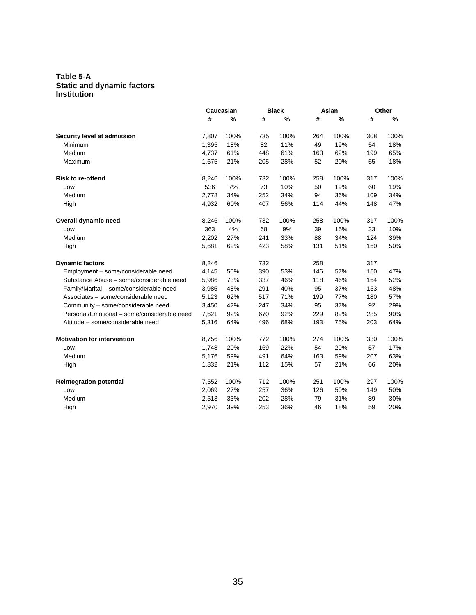#### **Table 5-A Static and dynamic factors Institution**

|                                             |       | Caucasian |     | <b>Black</b> |     | Asian<br>Other |     |      |
|---------------------------------------------|-------|-----------|-----|--------------|-----|----------------|-----|------|
|                                             | #     | %         | #   | %            | #   | %              | #   | %    |
| Security level at admission                 | 7,807 | 100%      | 735 | 100%         | 264 | 100%           | 308 | 100% |
| Minimum                                     | 1,395 | 18%       | 82  | 11%          | 49  | 19%            | 54  | 18%  |
| Medium                                      | 4,737 | 61%       | 448 | 61%          | 163 | 62%            | 199 | 65%  |
| Maximum                                     | 1,675 | 21%       | 205 | 28%          | 52  | 20%            | 55  | 18%  |
| <b>Risk to re-offend</b>                    | 8,246 | 100%      | 732 | 100%         | 258 | 100%           | 317 | 100% |
| Low                                         | 536   | 7%        | 73  | 10%          | 50  | 19%            | 60  | 19%  |
| Medium                                      | 2,778 | 34%       | 252 | 34%          | 94  | 36%            | 109 | 34%  |
| High                                        | 4,932 | 60%       | 407 | 56%          | 114 | 44%            | 148 | 47%  |
| Overall dynamic need                        | 8,246 | 100%      | 732 | 100%         | 258 | 100%           | 317 | 100% |
| Low                                         | 363   | 4%        | 68  | 9%           | 39  | 15%            | 33  | 10%  |
| Medium                                      | 2,202 | 27%       | 241 | 33%          | 88  | 34%            | 124 | 39%  |
| High                                        | 5,681 | 69%       | 423 | 58%          | 131 | 51%            | 160 | 50%  |
| <b>Dynamic factors</b>                      | 8,246 |           | 732 |              | 258 |                | 317 |      |
| Employment - some/considerable need         | 4,145 | 50%       | 390 | 53%          | 146 | 57%            | 150 | 47%  |
| Substance Abuse - some/considerable need    | 5,986 | 73%       | 337 | 46%          | 118 | 46%            | 164 | 52%  |
| Family/Marital - some/considerable need     | 3,985 | 48%       | 291 | 40%          | 95  | 37%            | 153 | 48%  |
| Associates - some/considerable need         | 5,123 | 62%       | 517 | 71%          | 199 | 77%            | 180 | 57%  |
| Community - some/considerable need          | 3,450 | 42%       | 247 | 34%          | 95  | 37%            | 92  | 29%  |
| Personal/Emotional - some/considerable need | 7,621 | 92%       | 670 | 92%          | 229 | 89%            | 285 | 90%  |
| Attitude – some/considerable need           | 5,316 | 64%       | 496 | 68%          | 193 | 75%            | 203 | 64%  |
| <b>Motivation for intervention</b>          | 8,756 | 100%      | 772 | 100%         | 274 | 100%           | 330 | 100% |
| Low                                         | 1,748 | 20%       | 169 | 22%          | 54  | 20%            | 57  | 17%  |
| Medium                                      | 5,176 | 59%       | 491 | 64%          | 163 | 59%            | 207 | 63%  |
| High                                        | 1,832 | 21%       | 112 | 15%          | 57  | 21%            | 66  | 20%  |
| <b>Reintegration potential</b>              | 7,552 | 100%      | 712 | 100%         | 251 | 100%           | 297 | 100% |
| Low                                         | 2,069 | 27%       | 257 | 36%          | 126 | 50%            | 149 | 50%  |
| Medium                                      | 2,513 | 33%       | 202 | 28%          | 79  | 31%            | 89  | 30%  |
| High                                        | 2,970 | 39%       | 253 | 36%          | 46  | 18%            | 59  | 20%  |